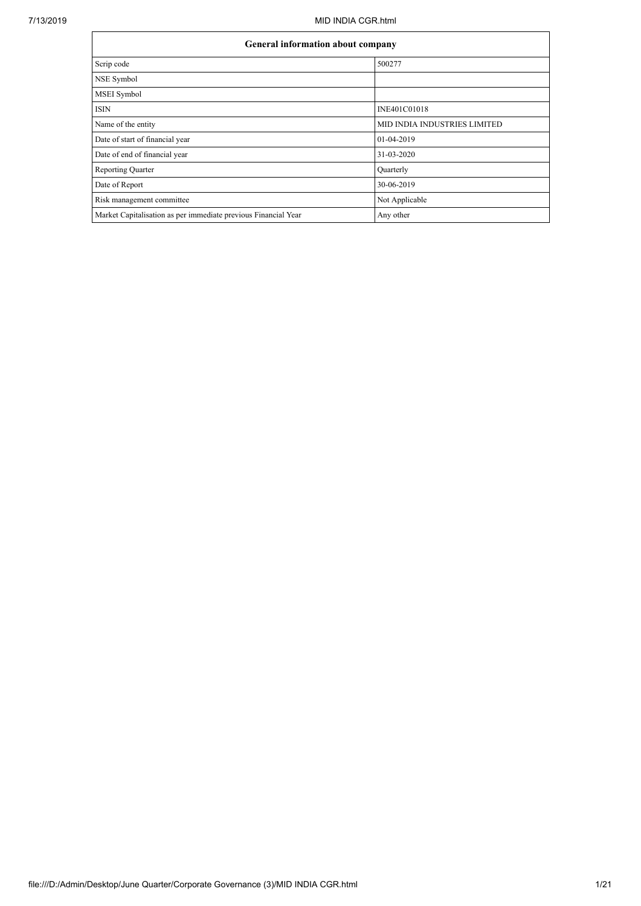| <b>General information about company</b>                       |                              |
|----------------------------------------------------------------|------------------------------|
| Scrip code                                                     | 500277                       |
| NSE Symbol                                                     |                              |
| MSEI Symbol                                                    |                              |
| <b>ISIN</b>                                                    | INE401C01018                 |
| Name of the entity                                             | MID INDIA INDUSTRIES LIMITED |
| Date of start of financial year                                | 01-04-2019                   |
| Date of end of financial year                                  | 31-03-2020                   |
| <b>Reporting Quarter</b>                                       | Quarterly                    |
| Date of Report                                                 | 30-06-2019                   |
| Risk management committee                                      | Not Applicable               |
| Market Capitalisation as per immediate previous Financial Year | Any other                    |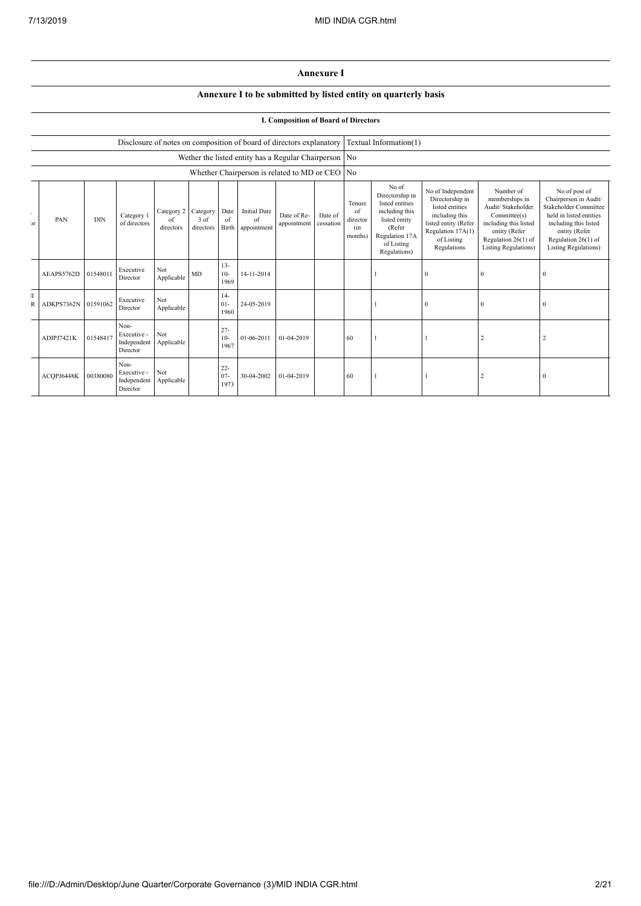## **Annexure I**

## **Annexure I to be submitted by listed entity on quarterly basis**

## **I. Composition of Board of Directors**

|                    |            |            |                                                |                               |                               |                          | Disclosure of notes on composition of board of directors explanatory |                            |                      |                                            | Textual Information(1)                                                                                                                   |                                                                                                                                                     |                                                                                                                                                                   |                                                                                                                                                                                     |
|--------------------|------------|------------|------------------------------------------------|-------------------------------|-------------------------------|--------------------------|----------------------------------------------------------------------|----------------------------|----------------------|--------------------------------------------|------------------------------------------------------------------------------------------------------------------------------------------|-----------------------------------------------------------------------------------------------------------------------------------------------------|-------------------------------------------------------------------------------------------------------------------------------------------------------------------|-------------------------------------------------------------------------------------------------------------------------------------------------------------------------------------|
|                    |            |            |                                                |                               |                               |                          | Wether the listed entity has a Regular Chairperson No                |                            |                      |                                            |                                                                                                                                          |                                                                                                                                                     |                                                                                                                                                                   |                                                                                                                                                                                     |
|                    |            |            |                                                |                               |                               |                          | Whether Chairperson is related to MD or CEO No                       |                            |                      |                                            |                                                                                                                                          |                                                                                                                                                     |                                                                                                                                                                   |                                                                                                                                                                                     |
| ٠<br>$\mathcal{F}$ | PAN        | <b>DIN</b> | Category 1<br>of directors                     | Category 2<br>of<br>directors | Category<br>3 of<br>directors | Date<br>of<br>Birth      | <b>Initial Date</b><br>of<br>appointment                             | Date of Re-<br>appointment | Date of<br>cessation | Tenure<br>of<br>director<br>(in<br>months) | No of<br>Directorship in<br>listed entities<br>including this<br>listed entity<br>(Refer<br>Regulation 17A<br>of Listing<br>Regulations) | No of Independent<br>Directorship in<br>listed entities<br>including this<br>listed entity (Refer<br>Regulation 17A(1)<br>of Listing<br>Regulations | Number of<br>memberships in<br>Audit/ Stakeholder<br>Committee(s)<br>including this listed<br>entity (Refer<br>Regulation 26(1) of<br><b>Listing Regulations)</b> | No of post of<br>Chairperson in Audit/<br>Stakeholder Committee<br>held in listed entities<br>including this listed<br>entity (Refer<br>Regulation 26(1) of<br>Listing Regulations) |
|                    | AEAPS5762D | 01548011   | Executive<br>Director                          | Not<br>Applicable             | MD                            | $13 -$<br>$10-$<br>1969  | 14-11-2014                                                           |                            |                      |                                            |                                                                                                                                          | $\Omega$                                                                                                                                            |                                                                                                                                                                   | $\theta$                                                                                                                                                                            |
| T<br>R             | ADKPS7362N | 01591062   | Executive<br>Director                          | Not<br>Applicable             |                               | $14-$<br>$01 -$<br>1960  | 24-05-2019                                                           |                            |                      |                                            |                                                                                                                                          | $\Omega$                                                                                                                                            |                                                                                                                                                                   | $\Omega$                                                                                                                                                                            |
|                    | ADIPJ7421K | 01548417   | Non-<br>Executive -<br>Independent<br>Director | Not<br>Applicable             |                               | $27 -$<br>$10-$<br>1967  | 01-06-2011                                                           | 01-04-2019                 |                      | 60                                         |                                                                                                                                          |                                                                                                                                                     |                                                                                                                                                                   |                                                                                                                                                                                     |
|                    | ACQPJ6448K | 00380080   | Non-<br>Executive -<br>Independent<br>Director | Not<br>Applicable             |                               | $22 -$<br>$07 -$<br>1973 | 30-04-2002                                                           | 01-04-2019                 |                      | 60                                         |                                                                                                                                          |                                                                                                                                                     |                                                                                                                                                                   | $\Omega$                                                                                                                                                                            |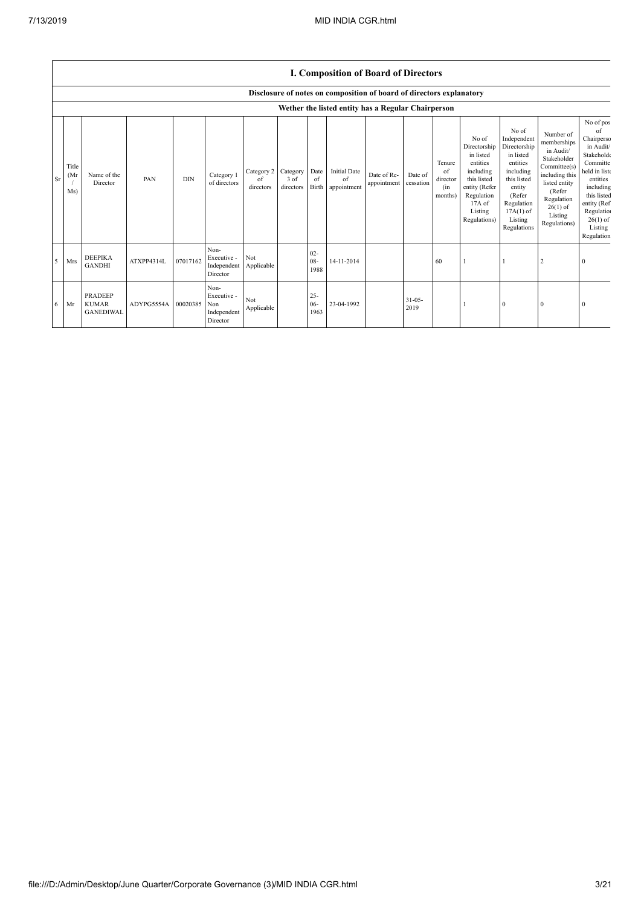|           |                      |                                                                      |            |            |                                                       |                               |                               |                          |                                          | <b>I. Composition of Board of Directors</b>        |                      |                                            |                                                                                                                                                |                                                                                                                                                                      |                                                                                                                                                                          |                                                                                                                                                                                                   |
|-----------|----------------------|----------------------------------------------------------------------|------------|------------|-------------------------------------------------------|-------------------------------|-------------------------------|--------------------------|------------------------------------------|----------------------------------------------------|----------------------|--------------------------------------------|------------------------------------------------------------------------------------------------------------------------------------------------|----------------------------------------------------------------------------------------------------------------------------------------------------------------------|--------------------------------------------------------------------------------------------------------------------------------------------------------------------------|---------------------------------------------------------------------------------------------------------------------------------------------------------------------------------------------------|
|           |                      | Disclosure of notes on composition of board of directors explanatory |            |            |                                                       |                               |                               |                          |                                          |                                                    |                      |                                            |                                                                                                                                                |                                                                                                                                                                      |                                                                                                                                                                          |                                                                                                                                                                                                   |
|           |                      |                                                                      |            |            |                                                       |                               |                               |                          |                                          | Wether the listed entity has a Regular Chairperson |                      |                                            |                                                                                                                                                |                                                                                                                                                                      |                                                                                                                                                                          |                                                                                                                                                                                                   |
| <b>Sr</b> | Title<br>(Mr)<br>Ms) | Name of the<br>Director                                              | PAN        | <b>DIN</b> | Category 1<br>of directors                            | Category 2<br>of<br>directors | Category<br>3 of<br>directors | Date<br>of<br>Birth      | <b>Initial Date</b><br>of<br>appointment | Date of Re-<br>appointment                         | Date of<br>cessation | Tenure<br>of<br>director<br>(in<br>months) | No of<br>Directorship<br>in listed<br>entities<br>including<br>this listed<br>entity (Refer<br>Regulation<br>17A of<br>Listing<br>Regulations) | No of<br>Independent<br>Directorship<br>in listed<br>entities<br>including<br>this listed<br>entity<br>(Refer<br>Regulation<br>$17A(1)$ of<br>Listing<br>Regulations | Number of<br>memberships<br>in Audit/<br>Stakeholder<br>Committee(s)<br>including this<br>listed entity<br>(Refer<br>Regulation<br>$26(1)$ of<br>Listing<br>Regulations) | No of pos<br>of<br>Chairperso<br>in Audit/<br>Stakeholde<br>Committe<br>held in liste<br>entities<br>including<br>this listed<br>entity (Ref<br>Regulation<br>$26(1)$ of<br>Listing<br>Regulation |
|           | Mrs                  | <b>DEEPIKA</b><br><b>GANDHI</b>                                      | ATXPP4314L | 07017162   | Non-<br>Executive -<br>Independent<br>Director        | Not<br>Applicable             |                               | $02 -$<br>$08 -$<br>1988 | 14-11-2014                               |                                                    |                      | 60                                         |                                                                                                                                                |                                                                                                                                                                      |                                                                                                                                                                          | $\Omega$                                                                                                                                                                                          |
| 6         | Mr                   | <b>PRADEEP</b><br><b>KUMAR</b><br><b>GANEDIWAL</b>                   | ADYPG5554A | 00020385   | Non-<br>Executive -<br>Non<br>Independent<br>Director | Not<br>Applicable             |                               | $25 -$<br>$06 -$<br>1963 | 23-04-1992                               |                                                    | $31 - 05 -$<br>2019  |                                            |                                                                                                                                                | $\mathbf{0}$                                                                                                                                                         | $\Omega$                                                                                                                                                                 | $\Omega$                                                                                                                                                                                          |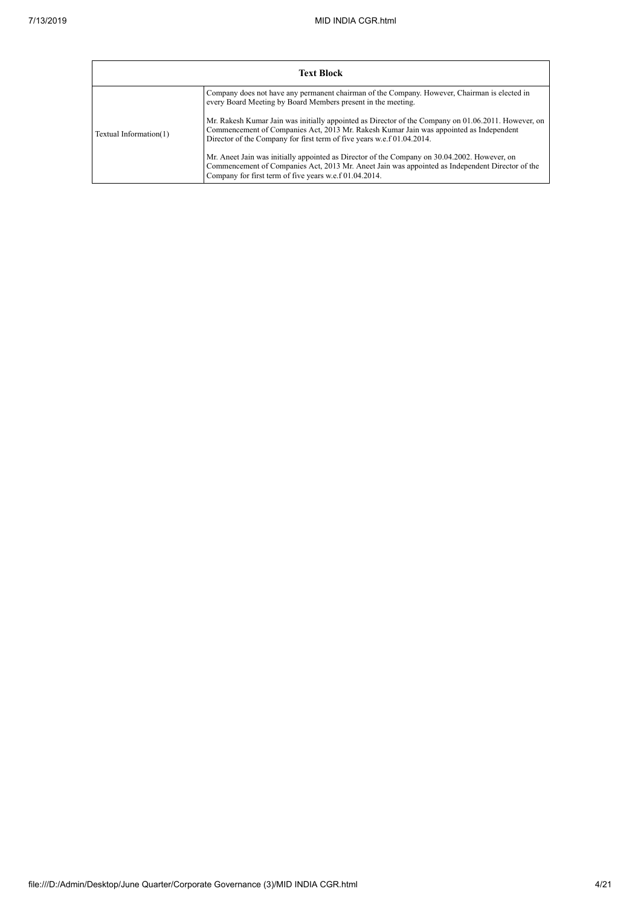'n

|                        | <b>Text Block</b>                                                                                                                                                                                                                                                       |
|------------------------|-------------------------------------------------------------------------------------------------------------------------------------------------------------------------------------------------------------------------------------------------------------------------|
|                        | Company does not have any permanent chairman of the Company. However, Chairman is elected in<br>every Board Meeting by Board Members present in the meeting.                                                                                                            |
| Textual Information(1) | Mr. Rakesh Kumar Jain was initially appointed as Director of the Company on 01.06.2011. However, on<br>Commencement of Companies Act, 2013 Mr. Rakesh Kumar Jain was appointed as Independent<br>Director of the Company for first term of five years w.e.f 01.04.2014. |
|                        | Mr. Aneet Jain was initially appointed as Director of the Company on 30.04.2002. However, on<br>Commencement of Companies Act, 2013 Mr. Aneet Jain was appointed as Independent Director of the<br>Company for first term of five years w.e.f 01.04.2014.               |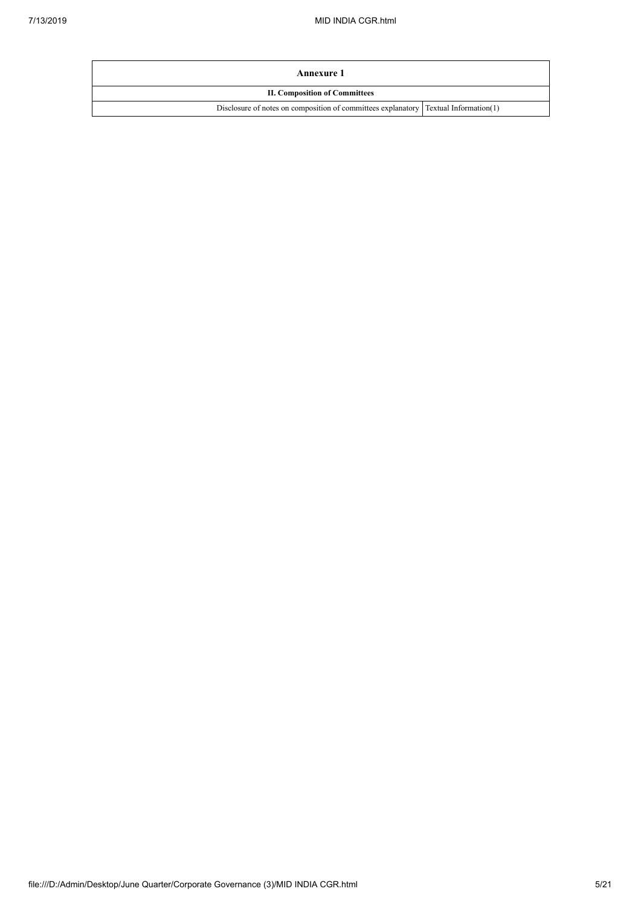| Annexure 1                                                                          |  |
|-------------------------------------------------------------------------------------|--|
| <b>II. Composition of Committees</b>                                                |  |
| Disclosure of notes on composition of committees explanatory Textual Information(1) |  |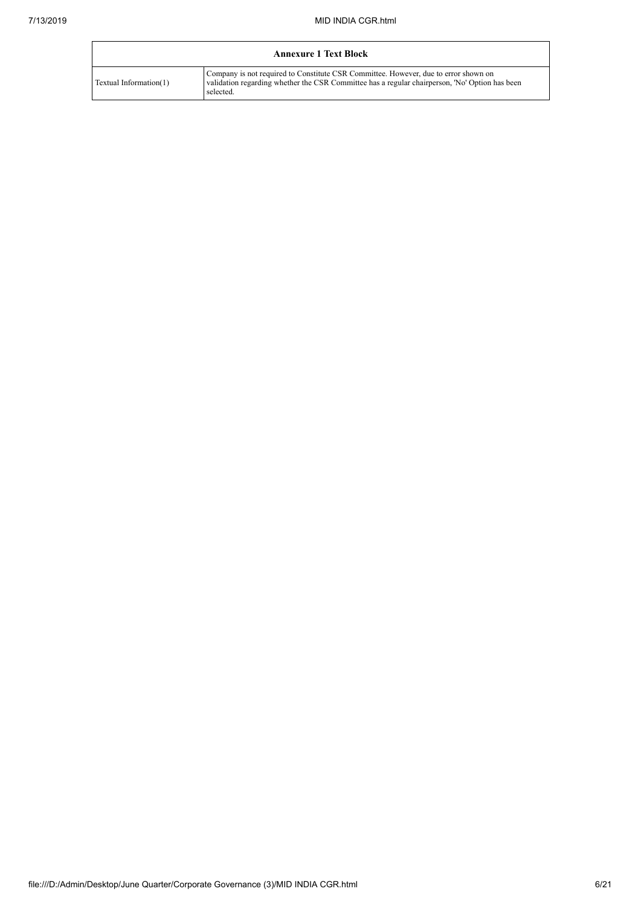|                        | <b>Annexure 1 Text Block</b>                                                                                                                                                                       |
|------------------------|----------------------------------------------------------------------------------------------------------------------------------------------------------------------------------------------------|
| Textual Information(1) | Company is not required to Constitute CSR Committee. However, due to error shown on<br>validation regarding whether the CSR Committee has a regular chairperson, 'No' Option has been<br>selected. |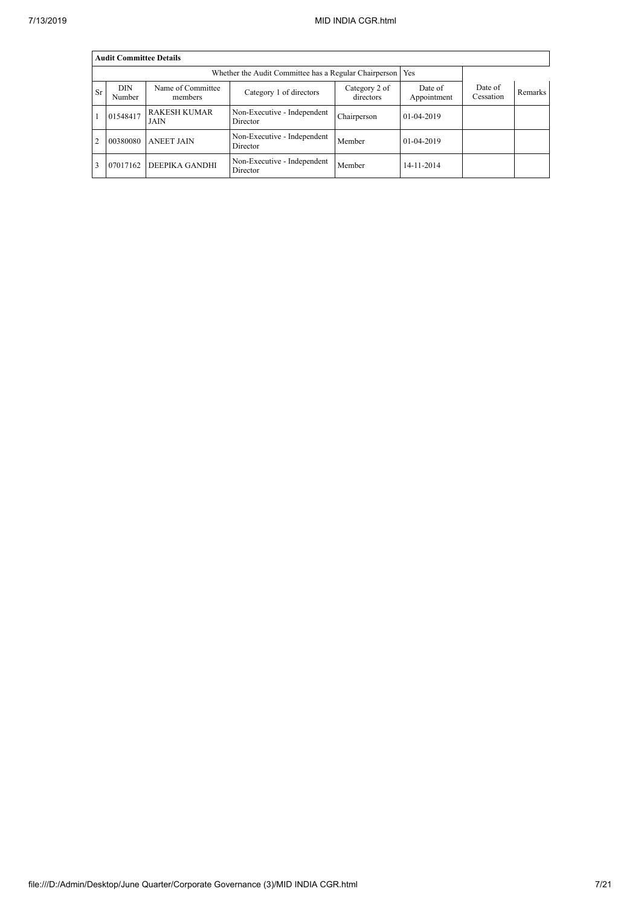|                |                      | <b>Audit Committee Details</b> |                                         |                            |                        |                      |                |  |  |  |  |
|----------------|----------------------|--------------------------------|-----------------------------------------|----------------------------|------------------------|----------------------|----------------|--|--|--|--|
|                |                      |                                |                                         |                            |                        |                      |                |  |  |  |  |
| <b>Sr</b>      | <b>DIN</b><br>Number | Name of Committee<br>members   | Category 1 of directors                 | Category 2 of<br>directors | Date of<br>Appointment | Date of<br>Cessation | <b>Remarks</b> |  |  |  |  |
|                | 01548417             | <b>RAKESH KUMAR</b><br>JAIN    | Non-Executive - Independent<br>Director | Chairperson                | 01-04-2019             |                      |                |  |  |  |  |
| $\overline{2}$ | 00380080             | <b>ANEET JAIN</b>              | Non-Executive - Independent<br>Director | Member                     | 01-04-2019             |                      |                |  |  |  |  |
| $\mathbf{3}$   | 07017162             | <b>DEEPIKA GANDHI</b>          | Non-Executive - Independent<br>Director | Member                     | 14-11-2014             |                      |                |  |  |  |  |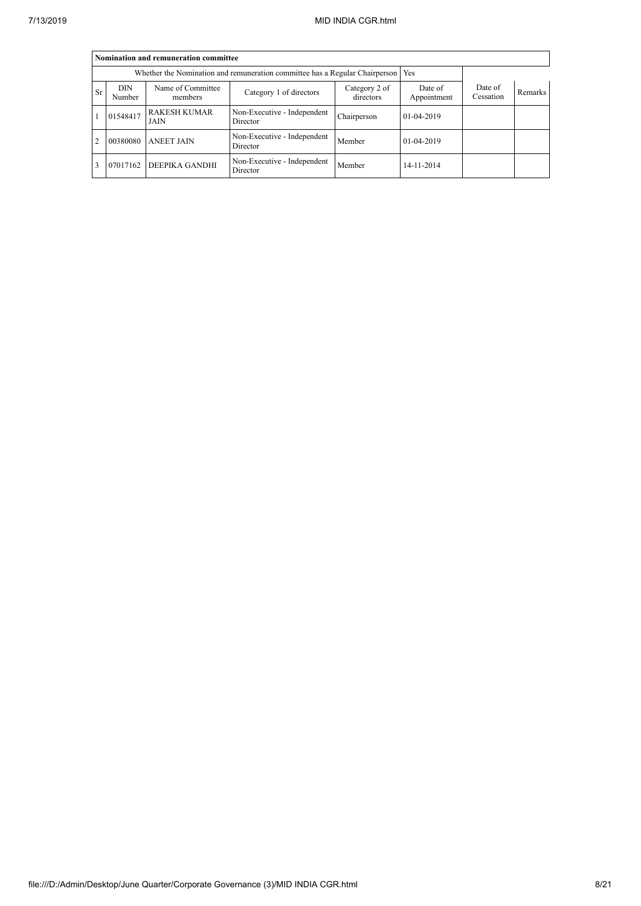|                | Nomination and remuneration committee                                             |                                    |                                         |                            |                        |                      |                |  |  |  |  |
|----------------|-----------------------------------------------------------------------------------|------------------------------------|-----------------------------------------|----------------------------|------------------------|----------------------|----------------|--|--|--|--|
|                | Whether the Nomination and remuneration committee has a Regular Chairperson   Yes |                                    |                                         |                            |                        |                      |                |  |  |  |  |
| <b>Sr</b>      | <b>DIN</b><br>Number                                                              | Name of Committee<br>members       | Category 1 of directors                 | Category 2 of<br>directors | Date of<br>Appointment | Date of<br>Cessation | <b>Remarks</b> |  |  |  |  |
|                | 01548417                                                                          | <b>RAKESH KUMAR</b><br><b>JAIN</b> | Non-Executive - Independent<br>Director | Chairperson                | 01-04-2019             |                      |                |  |  |  |  |
| $\overline{2}$ | 00380080                                                                          | <b>ANEET JAIN</b>                  | Non-Executive - Independent<br>Director | Member                     | 01-04-2019             |                      |                |  |  |  |  |
| $\mathcal{R}$  | 07017162                                                                          | <b>DEEPIKA GANDHI</b>              | Non-Executive - Independent<br>Director | Member                     | 14-11-2014             |                      |                |  |  |  |  |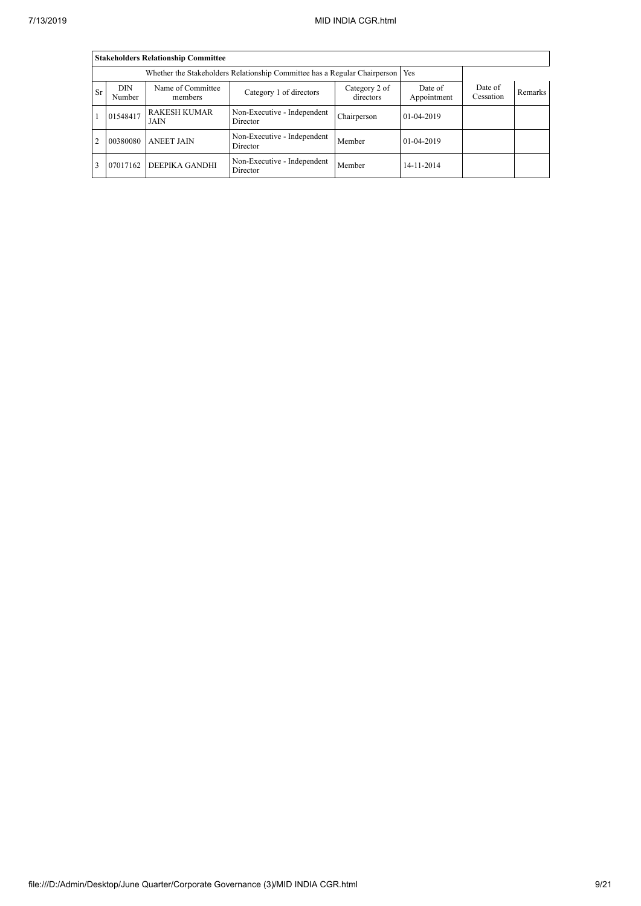|                | <b>Stakeholders Relationship Committee</b>                                      |                              |                                         |                            |                        |                      |                |  |  |  |  |
|----------------|---------------------------------------------------------------------------------|------------------------------|-----------------------------------------|----------------------------|------------------------|----------------------|----------------|--|--|--|--|
|                | Whether the Stakeholders Relationship Committee has a Regular Chairperson   Yes |                              |                                         |                            |                        |                      |                |  |  |  |  |
| <b>Sr</b>      | <b>DIN</b><br>Number                                                            | Name of Committee<br>members | Category 1 of directors                 | Category 2 of<br>directors | Date of<br>Appointment | Date of<br>Cessation | <b>Remarks</b> |  |  |  |  |
|                | 01548417                                                                        | <b>RAKESH KUMAR</b><br>JAIN  | Non-Executive - Independent<br>Director | Chairperson                | 01-04-2019             |                      |                |  |  |  |  |
| $\overline{2}$ | 00380080                                                                        | <b>ANEET JAIN</b>            | Non-Executive - Independent<br>Director | Member                     | 01-04-2019             |                      |                |  |  |  |  |
|                | 07017162                                                                        | DEEPIKA GANDHI               | Non-Executive - Independent<br>Director | Member                     | 14-11-2014             |                      |                |  |  |  |  |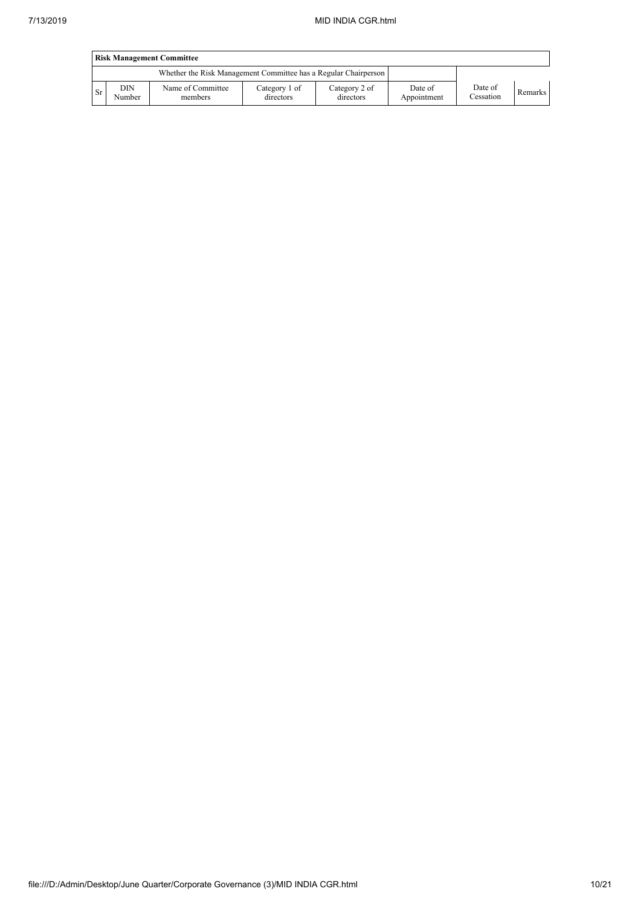|           | <b>Risk Management Committee</b> |                                                                 |                            |                            |                        |                      |         |  |  |  |  |
|-----------|----------------------------------|-----------------------------------------------------------------|----------------------------|----------------------------|------------------------|----------------------|---------|--|--|--|--|
|           |                                  | Whether the Risk Management Committee has a Regular Chairperson |                            |                            |                        |                      |         |  |  |  |  |
| <b>Sr</b> | DIN<br>Number                    | Name of Committee<br>members                                    | Category 1 of<br>directors | Category 2 of<br>directors | Date of<br>Appointment | Date of<br>Cessation | Remarks |  |  |  |  |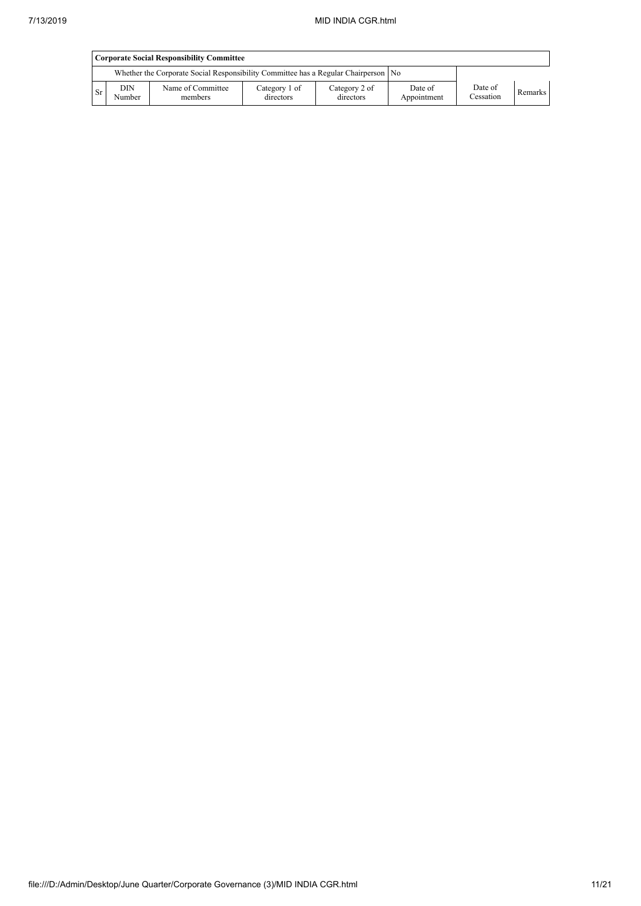|    | <b>Corporate Social Responsibility Committee</b> |                                                                                      |                            |                            |                        |                      |         |  |  |  |
|----|--------------------------------------------------|--------------------------------------------------------------------------------------|----------------------------|----------------------------|------------------------|----------------------|---------|--|--|--|
|    |                                                  | Whether the Corporate Social Responsibility Committee has a Regular Chairperson   No |                            |                            |                        |                      |         |  |  |  |
| Sr | <b>DIN</b><br>Number                             | Name of Committee<br>members                                                         | Category 1 of<br>directors | Category 2 of<br>directors | Date of<br>Appointment | Date of<br>Cessation | Remarks |  |  |  |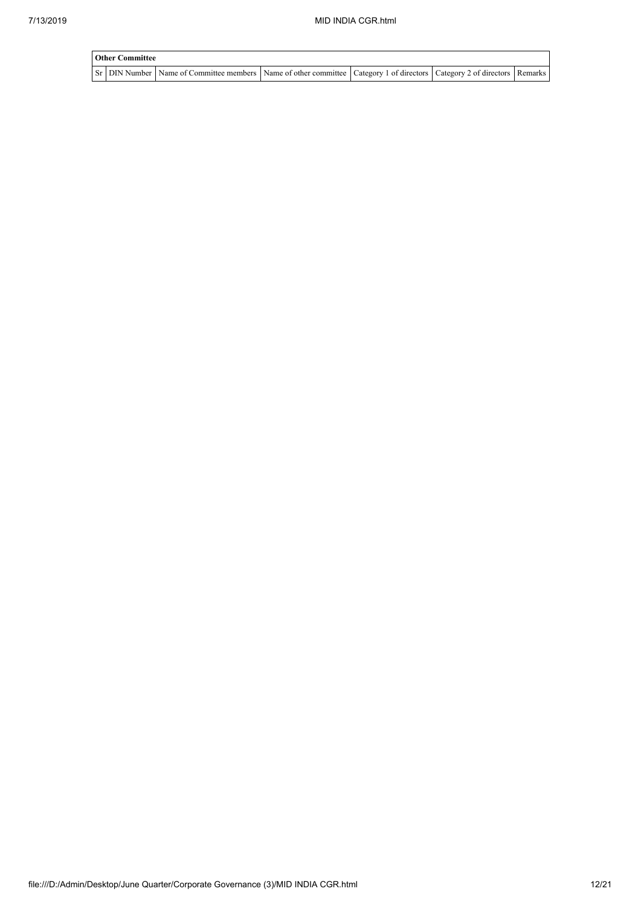| <b>Other Committee</b> |                                                                                                                                     |  |  |  |  |  |  |  |  |
|------------------------|-------------------------------------------------------------------------------------------------------------------------------------|--|--|--|--|--|--|--|--|
|                        | Sr   DIN Number   Name of Committee members   Name of other committee   Category 1 of directors   Category 2 of directors   Remarks |  |  |  |  |  |  |  |  |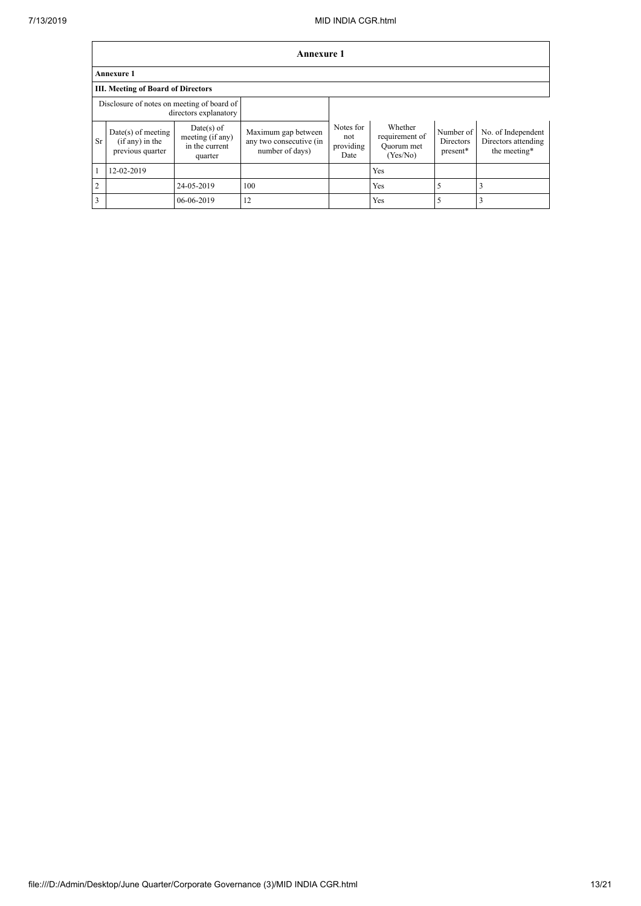|                                                                     | Annexure 1                                                    |                                                               |                                                                   |                                       |                                                     |                                    |                                                           |
|---------------------------------------------------------------------|---------------------------------------------------------------|---------------------------------------------------------------|-------------------------------------------------------------------|---------------------------------------|-----------------------------------------------------|------------------------------------|-----------------------------------------------------------|
|                                                                     | Annexure 1                                                    |                                                               |                                                                   |                                       |                                                     |                                    |                                                           |
|                                                                     | <b>III. Meeting of Board of Directors</b>                     |                                                               |                                                                   |                                       |                                                     |                                    |                                                           |
| Disclosure of notes on meeting of board of<br>directors explanatory |                                                               |                                                               |                                                                   |                                       |                                                     |                                    |                                                           |
| Sr                                                                  | $Date(s)$ of meeting<br>$(if any)$ in the<br>previous quarter | $Date(s)$ of<br>meeting (if any)<br>in the current<br>quarter | Maximum gap between<br>any two consecutive (in<br>number of days) | Notes for<br>not<br>providing<br>Date | Whether<br>requirement of<br>Quorum met<br>(Yes/No) | Number of<br>Directors<br>present* | No. of Independent<br>Directors attending<br>the meeting* |
|                                                                     | 12-02-2019                                                    |                                                               |                                                                   |                                       | Yes                                                 |                                    |                                                           |
| $\overline{2}$                                                      |                                                               | 24-05-2019                                                    | 100                                                               |                                       | Yes                                                 | 5                                  | 3                                                         |
| 3                                                                   |                                                               | 06-06-2019                                                    | 12                                                                |                                       | Yes                                                 | 5                                  |                                                           |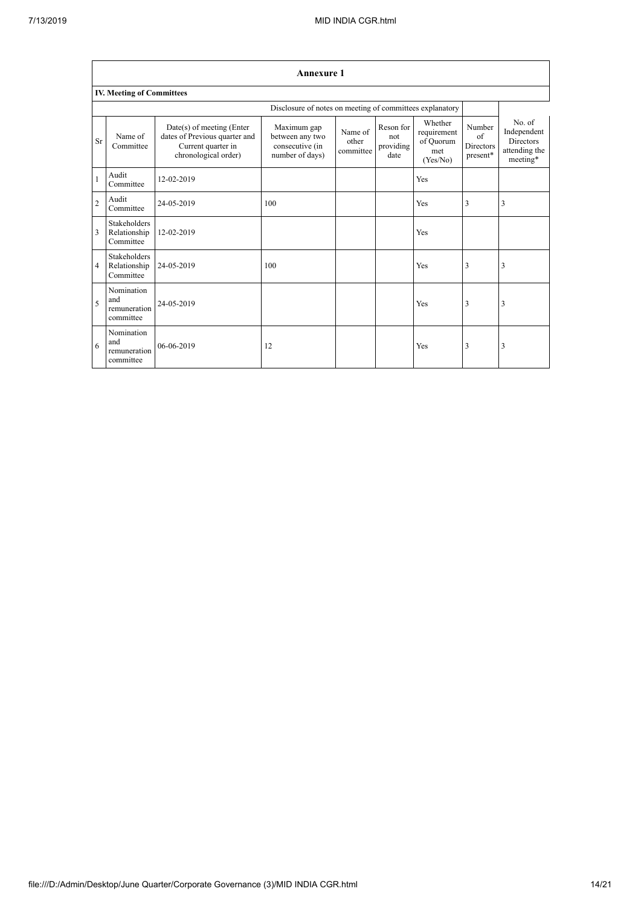$\overline{\phantom{a}}$ 

|                | <b>Annexure 1</b><br>IV. Meeting of Committees   |                                                                                                          |                                                                      |                               |                                       |                                                        |                                               |                                                                        |
|----------------|--------------------------------------------------|----------------------------------------------------------------------------------------------------------|----------------------------------------------------------------------|-------------------------------|---------------------------------------|--------------------------------------------------------|-----------------------------------------------|------------------------------------------------------------------------|
|                |                                                  |                                                                                                          |                                                                      |                               |                                       |                                                        |                                               |                                                                        |
|                |                                                  |                                                                                                          | Disclosure of notes on meeting of committees explanatory             |                               |                                       |                                                        |                                               |                                                                        |
| Sr             | Name of<br>Committee                             | Date(s) of meeting (Enter<br>dates of Previous quarter and<br>Current quarter in<br>chronological order) | Maximum gap<br>between any two<br>consecutive (in<br>number of days) | Name of<br>other<br>committee | Reson for<br>not<br>providing<br>date | Whether<br>requirement<br>of Quorum<br>met<br>(Yes/No) | Number<br>$\sigma$ f<br>Directors<br>present* | No. of<br>Independent<br><b>Directors</b><br>attending the<br>meeting* |
|                | Audit<br>Committee                               | 12-02-2019                                                                                               |                                                                      |                               |                                       | Yes                                                    |                                               |                                                                        |
| $\overline{c}$ | Audit<br>Committee                               | 24-05-2019                                                                                               | 100                                                                  |                               |                                       | Yes                                                    | 3                                             | 3                                                                      |
| $\overline{3}$ | <b>Stakeholders</b><br>Relationship<br>Committee | 12-02-2019                                                                                               |                                                                      |                               |                                       | Yes                                                    |                                               |                                                                        |
| $\overline{4}$ | <b>Stakeholders</b><br>Relationship<br>Committee | 24-05-2019                                                                                               | 100                                                                  |                               |                                       | Yes                                                    | 3                                             | $\overline{3}$                                                         |
| 5              | Nomination<br>and<br>remuneration<br>committee   | 24-05-2019                                                                                               |                                                                      |                               |                                       | Yes                                                    | 3                                             | 3                                                                      |
| 6              | Nomination<br>and<br>remuneration<br>committee   | 06-06-2019                                                                                               | 12                                                                   |                               |                                       | Yes                                                    | 3                                             | 3                                                                      |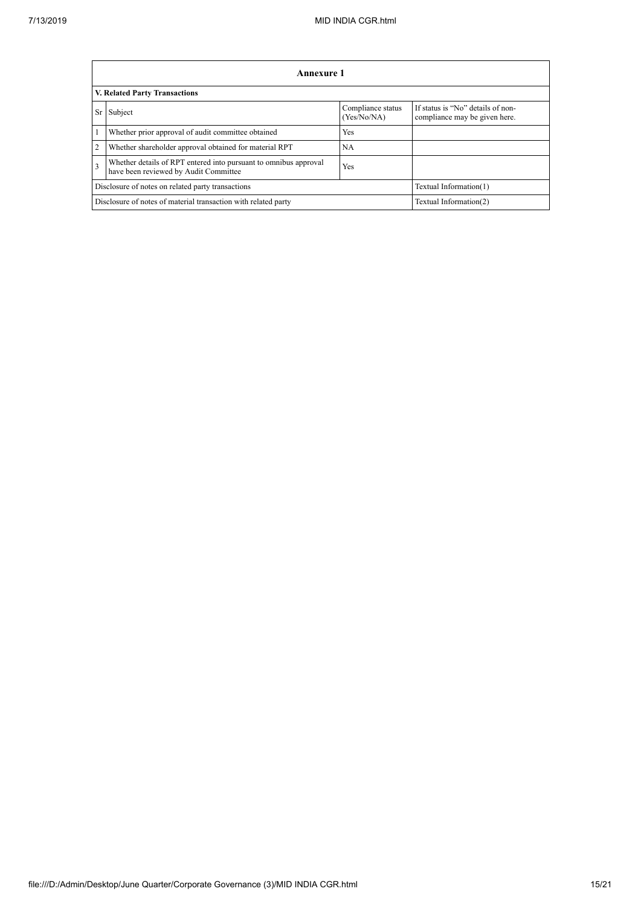'n

|                | Annexure 1                                                                                                |                                  |                                                                    |  |  |
|----------------|-----------------------------------------------------------------------------------------------------------|----------------------------------|--------------------------------------------------------------------|--|--|
|                | V. Related Party Transactions                                                                             |                                  |                                                                    |  |  |
| <b>Sr</b>      | Subject                                                                                                   | Compliance status<br>(Yes/No/NA) | If status is "No" details of non-<br>compliance may be given here. |  |  |
| 1              | Whether prior approval of audit committee obtained                                                        | Yes                              |                                                                    |  |  |
| $\overline{2}$ | Whether shareholder approval obtained for material RPT                                                    | <b>NA</b>                        |                                                                    |  |  |
| $\overline{3}$ | Whether details of RPT entered into pursuant to omnibus approval<br>have been reviewed by Audit Committee | Yes                              |                                                                    |  |  |
|                | Disclosure of notes on related party transactions                                                         |                                  | Textual Information(1)                                             |  |  |
|                | Textual Information(2)<br>Disclosure of notes of material transaction with related party                  |                                  |                                                                    |  |  |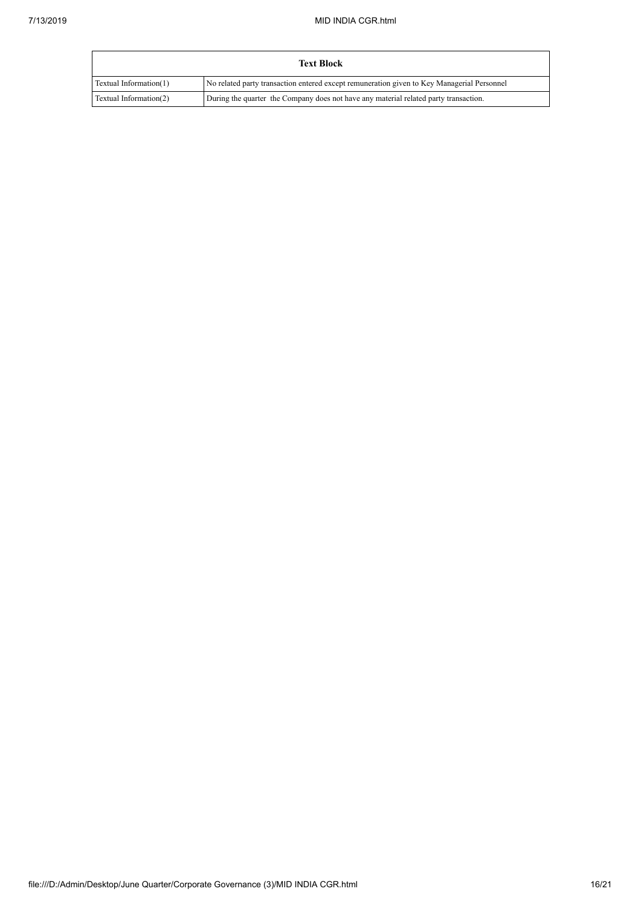|                        | <b>Text Block</b>                                                                          |
|------------------------|--------------------------------------------------------------------------------------------|
| Textual Information(1) | No related party transaction entered except remuneration given to Key Managerial Personnel |
| Textual Information(2) | During the quarter the Company does not have any material related party transaction.       |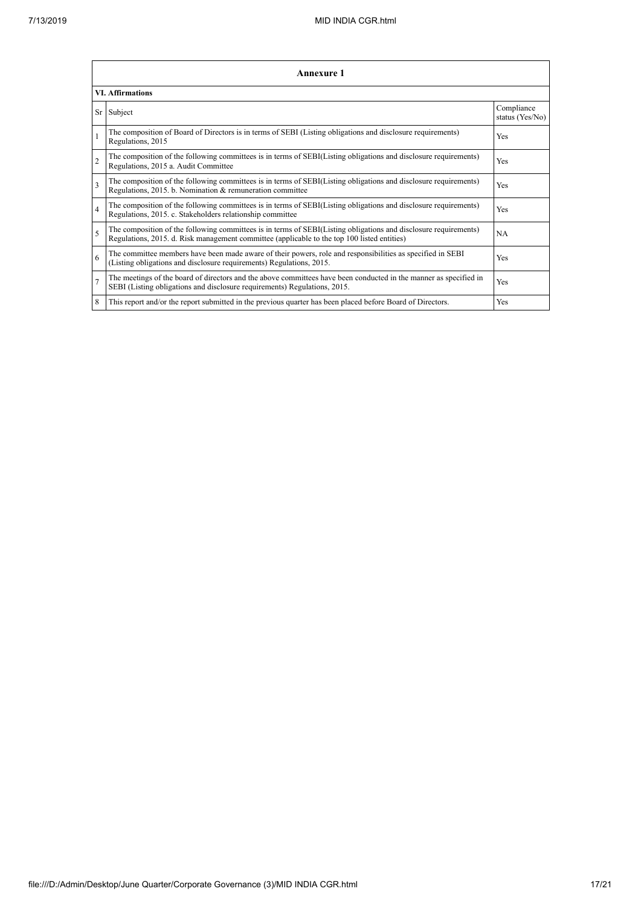|                          | <b>Annexure 1</b>                                                                                                                                                                                               |                               |  |  |  |
|--------------------------|-----------------------------------------------------------------------------------------------------------------------------------------------------------------------------------------------------------------|-------------------------------|--|--|--|
|                          | <b>VI.</b> Affirmations                                                                                                                                                                                         |                               |  |  |  |
| Sr                       | Subject                                                                                                                                                                                                         | Compliance<br>status (Yes/No) |  |  |  |
| $\mathbf{1}$             | The composition of Board of Directors is in terms of SEBI (Listing obligations and disclosure requirements)<br>Regulations, 2015                                                                                | Yes                           |  |  |  |
| $\overline{2}$           | The composition of the following committees is in terms of SEBI(Listing obligations and disclosure requirements)<br>Regulations, 2015 a. Audit Committee                                                        | Yes                           |  |  |  |
| $\overline{3}$           | The composition of the following committees is in terms of SEBI(Listing obligations and disclosure requirements)<br>Regulations, 2015. b. Nomination & remuneration committee                                   | Yes                           |  |  |  |
| $\overline{4}$           | The composition of the following committees is in terms of SEBI(Listing obligations and disclosure requirements)<br>Regulations, 2015. c. Stakeholders relationship committee                                   | Yes                           |  |  |  |
| $\overline{\phantom{0}}$ | The composition of the following committees is in terms of SEBI(Listing obligations and disclosure requirements)<br>Regulations, 2015. d. Risk management committee (applicable to the top 100 listed entities) | <b>NA</b>                     |  |  |  |
| 6                        | The committee members have been made aware of their powers, role and responsibilities as specified in SEBI<br>(Listing obligations and disclosure requirements) Regulations, 2015.                              | Yes                           |  |  |  |
| $\overline{7}$           | The meetings of the board of directors and the above committees have been conducted in the manner as specified in<br>SEBI (Listing obligations and disclosure requirements) Regulations, 2015.                  | Yes                           |  |  |  |
| 8                        | This report and/or the report submitted in the previous quarter has been placed before Board of Directors.                                                                                                      | Yes                           |  |  |  |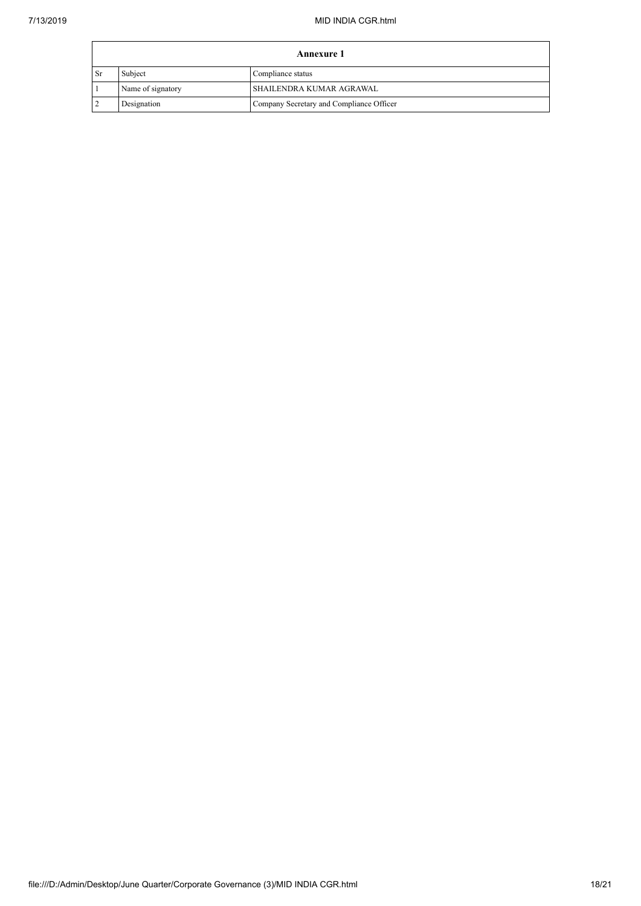| <b>Annexure 1</b> |                   |                                          |  |
|-------------------|-------------------|------------------------------------------|--|
| <b>Sr</b>         | Subject           | Compliance status                        |  |
|                   | Name of signatory | SHAILENDRA KUMAR AGRAWAL                 |  |
|                   | Designation       | Company Secretary and Compliance Officer |  |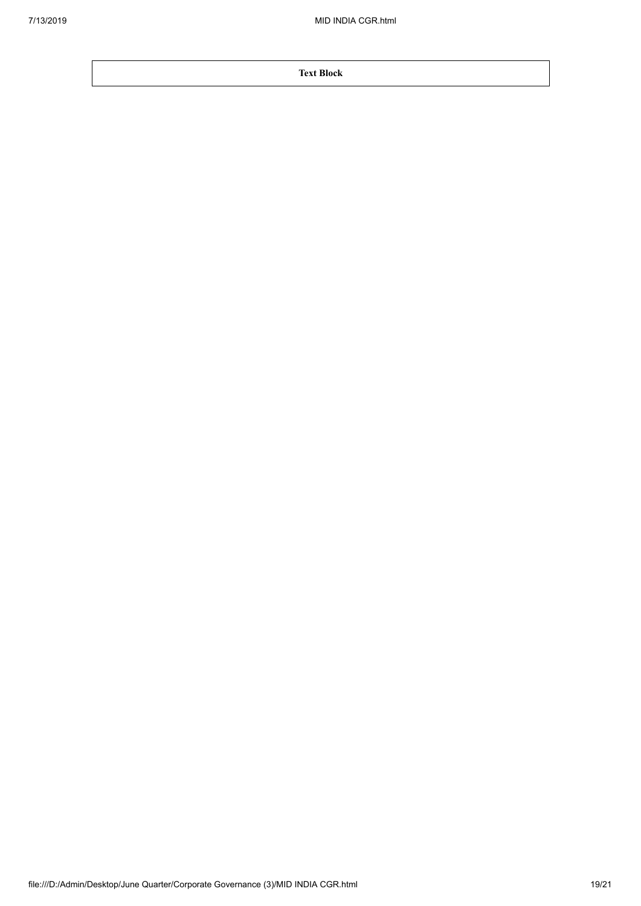**Text Block**